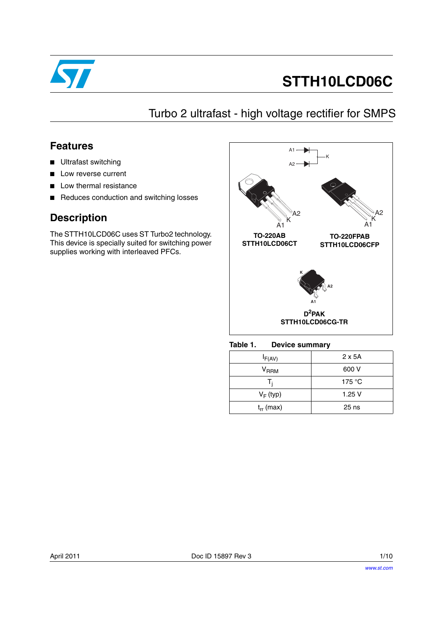

# **STTH10LCD06C**

# Turbo 2 ultrafast - high voltage rectifier for SMPS

## **Features**

- Ultrafast switching
- Low reverse current
- Low thermal resistance
- Reduces conduction and switching losses

## **Description**

The STTH10LCD06C uses ST Turbo2 technology. This device is specially suited for switching power supplies working with interleaved PFCs.



#### Table 1. **Device summary**

| $I_{F(AV)}$               | $2 \times 5A$ |
|---------------------------|---------------|
| $\mathsf{V}_\mathsf{RRM}$ | 600 V         |
| т,                        | 175 °C        |
| $V_F$ (typ)               | 1.25V         |
| $t_{rr}$ (max)            | $25$ ns       |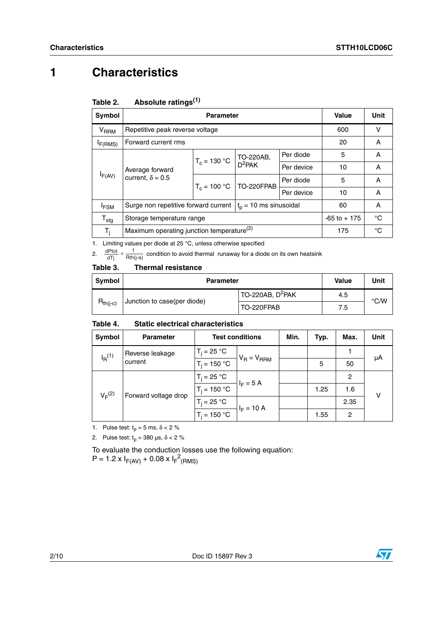# **1 Characteristics**

| Symbol                      |                                                                | <b>Parameter</b> |                           |            |     |    |
|-----------------------------|----------------------------------------------------------------|------------------|---------------------------|------------|-----|----|
| $\mathsf{V}_{\mathsf{RRM}}$ | Repetitive peak reverse voltage                                |                  |                           |            | 600 | v  |
| I <sub>F</sub> (RMS)        | Forward current rms                                            |                  |                           |            | 20  | A  |
|                             |                                                                |                  | TO-220AB,                 | Per diode  | 5   | A  |
|                             | Average forward                                                | $T_c = 130 °C$   | $D^2$ PAK                 | Per device | 10  | A  |
| $I_{F(AV)}$                 | current, $\delta = 0.5$                                        |                  | $T_c = 100 °C$ TO-220FPAB | Per diode  | 5   | A  |
|                             |                                                                |                  |                           | Per device | 10  | A  |
| <sup>I</sup> FSM            | Surge non repetitive forward current $ t_0 = 10$ ms sinusoidal |                  |                           | 60         | A   |    |
| $\mathsf{T}_{\textsf{stg}}$ | Storage temperature range                                      | $-65$ to $+175$  | $^{\circ}$ C              |            |     |    |
| т,                          | Maximum operating junction temperature <sup>(2)</sup>          |                  |                           |            |     | °C |

1. Limiting values per diode at 25 °C, unless otherwise specified

2.  $\frac{dPtot}{dTj} < \frac{1}{Rth(j-a)}$  condition to avoid thermal runaway for a diode on its own heatsink

#### <span id="page-1-0"></span>Table 3. **Thermal resistance**

| Symbol        | <b>Parameter</b>            | Value                            | Unit |               |
|---------------|-----------------------------|----------------------------------|------|---------------|
| $R_{th(i-c)}$ | Junction to case(per diode) | $1$ TO-220AB, D <sup>2</sup> PAK | 4.5  | $\degree$ C/W |
|               |                             | TO-220FPAB                       | 7.5  |               |

#### Table 4. **Static electrical characteristics**

| Symbol                                    | <b>Parameter</b> | <b>Test conditions</b> |                 | Min. | Typ. | Max. | Unit |
|-------------------------------------------|------------------|------------------------|-----------------|------|------|------|------|
| Reverse leakage<br>$I_R^{(1)}$<br>current |                  | $T_i = 25 °C$          | $V_R = V_{RRM}$ |      |      |      | μA   |
|                                           | $T_i = 150 °C$   |                        |                 | 5    | 50   |      |      |
|                                           |                  | $T_i = 25 °C$          | $I_F = 5 A$     |      |      | 2    |      |
| $V_F^{(2)}$<br>Forward voltage drop       |                  | $T_i = 150 °C$         |                 |      | 1.25 | 1.6  | v    |
|                                           |                  | $T_i = 25 °C$          | $I_F = 10 A$    |      |      | 2.35 |      |
|                                           |                  | $T_i = 150 °C$         |                 |      | 1.55 | 2    |      |

1. Pulse test:  $t_p = 5$  ms,  $\delta < 2$  %

2. Pulse test:  $t_p = 380 \text{ }\mu\text{s}, \delta < 2 \%$ 

To evaluate the conduction losses use the following equation:  $P = 1.2 \times I_{F(AV)} + 0.08 \times I_{F}^{2}$ (RMS)

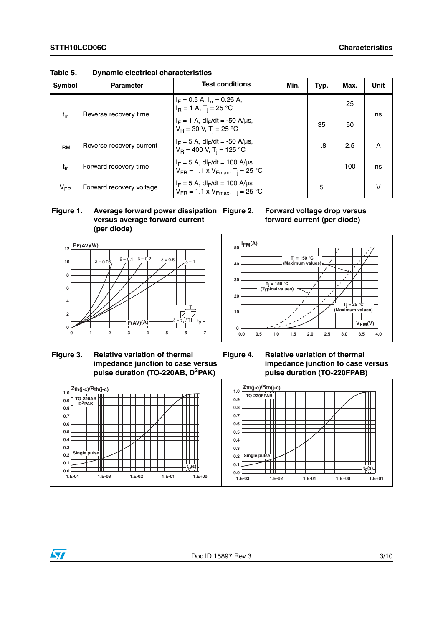| Symbol          | <b>Parameter</b>                                                                      | <b>Test conditions</b>                                                                              | Min. | Typ. | Max. | Unit   |
|-----------------|---------------------------------------------------------------------------------------|-----------------------------------------------------------------------------------------------------|------|------|------|--------|
|                 | Reverse recovery time                                                                 | $I_F = 0.5$ A, $I_{rr} = 0.25$ A,<br>$I_B = 1 A$ , T <sub>i</sub> = 25 °C                           |      |      | 25   | ns     |
| $t_{rr}$        | $I_F = 1$ A, dl <sub>F</sub> /dt = -50 A/us,<br>$V_R = 30 V$ , T <sub>i</sub> = 25 °C |                                                                                                     | 35   | 50   |      |        |
| <sup>I</sup> RM | Reverse recovery current                                                              | $I_F = 5$ A, dl <sub>F</sub> /dt = -50 A/µs,<br>$V_B = 400$ V, T <sub>i</sub> = 125 °C              |      | 1.8  | 2.5  | A      |
| $t_{fr}$        | Forward recovery time                                                                 | $I_F = 5$ A, dl <sub>F</sub> /dt = 100 A/µs<br>$V_{FR}$ = 1.1 x $V_{Fmax}$ , T <sub>i</sub> = 25 °C |      |      | 100  | ns     |
| $V_{FP}$        | Forward recovery voltage                                                              | $I_F = 5$ A, dl <sub>F</sub> /dt = 100 A/µs<br>$V_{FR}$ = 1.1 x $V_{Fmax}$ , T <sub>i</sub> = 25 °C |      | 5    |      | $\vee$ |

**Table 5. Dynamic electrical characteristics**

 **Figure 1. Average forward power dissipation versus average forward current (per diode)**







 **Figure 3. Relative variation of thermal impedance junction to case versus pulse duration (TO-220AB, D2PAK)**

**Figure 4. Relative variation of thermal impedance junction to case versus pulse duration (TO-220FPAB)**

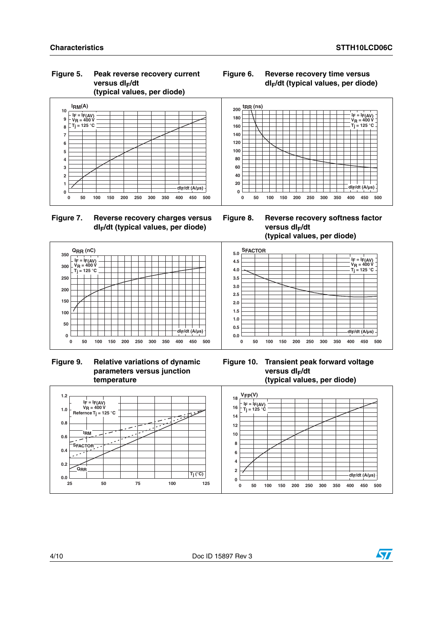**IF = IF(AV) VR = 400 V**  $T_j = 125 °C$ 

**dIF/dt (A/µs)**

### **Figure 5. Peak reverse recovery current**  versus dl<sub>F</sub>/dt **(typical values, per diode)**



**Figure 7. Reverse recovery charges versus dIF/dt (typical values, per diode)**



**0 50 100 150 200 250 300 350 400 450 500**



 **Figure 9. Relative variations of dynamic parameters versus junction temperature**



**Figure 10. Transient peak forward voltage versus dl<sub>r</sub>/dt (typical values, per diode)**



**tRR (ns)**

### **Figure 6. Reverse recovery time versus dIF/dt (typical values, per diode)**

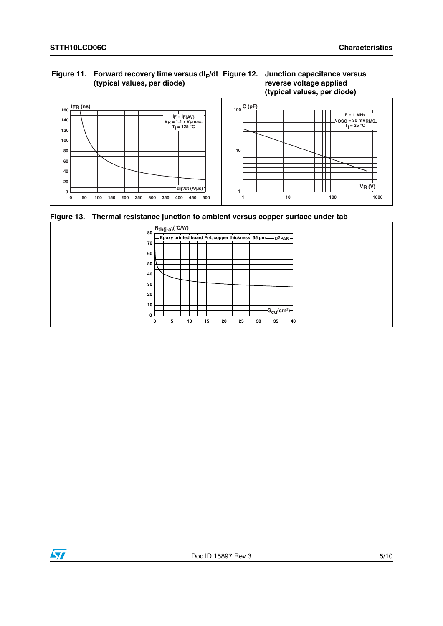### Figure 11. Forward recovery time versus dl<sub>F</sub>/dt Figure 12. Junction capacitance versus **(typical values, per diode)**

## **reverse voltage applied (typical values, per diode)**



**Figure 13. Thermal resistance junction to ambient versus copper surface under tab**



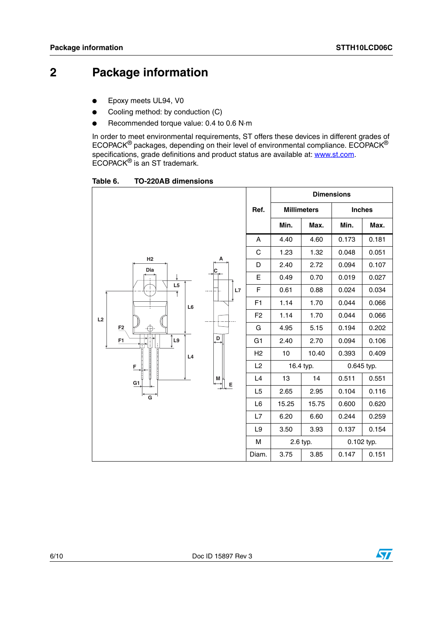## **2 Package information**

- Epoxy meets UL94, V0
- Cooling method: by conduction (C)
- Recommended torque value: 0.4 to 0.6 N·m

In order to meet environmental requirements, ST offers these devices in different grades of ECOPACK® packages, depending on their level of environmental compliance. ECOPACK® specifications, grade definitions and product status are available at: **www.st.com**. ECOPACK® is an ST trademark.

Table 6. **Table 6. TO-220AB dimensions**

|                                        |                |       |                    | <b>Dimensions</b> |               |
|----------------------------------------|----------------|-------|--------------------|-------------------|---------------|
|                                        | Ref.           |       | <b>Millimeters</b> |                   | <b>Inches</b> |
|                                        |                | Min.  | Max.               | Min.              | Max.          |
|                                        | A              | 4.40  | 4.60               | 0.173             | 0.181         |
| H2                                     | C              | 1.23  | 1.32               | 0.048             | 0.051         |
| Α<br>Dia                               | D              | 2.40  | 2.72               | 0.094             | 0.107         |
|                                        | E              | 0.49  | 0.70               | 0.019             | 0.027         |
| L <sub>5</sub><br>L7<br>Ŧ              | F              | 0.61  | 0.88               | 0.024             | 0.034         |
| L6                                     | F <sub>1</sub> | 1.14  | 1.70               | 0.044             | 0.066         |
| L2                                     | F <sub>2</sub> | 1.14  | 1.70               | 0.044             | 0.066         |
| F <sub>2</sub><br>⊕                    | G              | 4.95  | 5.15               | 0.194             | 0.202         |
| $\overline{D}$<br>L9<br>F <sub>1</sub> | G <sub>1</sub> | 2.40  | 2.70               | 0.094             | 0.106         |
| L4                                     | H <sub>2</sub> | 10    | 10.40              | 0.393             | 0.409         |
| F                                      | L2             |       | 16.4 typ.          |                   | 0.645 typ.    |
| M<br>G1<br>Е                           | L4             | 13    | 14                 | 0.511             | 0.551         |
| $\overline{\mathsf{G}}$                | L <sub>5</sub> | 2.65  | 2.95               | 0.104             | 0.116         |
|                                        | L <sub>6</sub> | 15.25 | 15.75              | 0.600             | 0.620         |
|                                        | L7             | 6.20  | 6.60               | 0.244             | 0.259         |
|                                        | L9             | 3.50  | 3.93               | 0.137             | 0.154         |
|                                        | M              |       | 2.6 typ.           |                   | 0.102 typ.    |
|                                        | Diam.          | 3.75  | 3.85               | 0.147             | 0.151         |

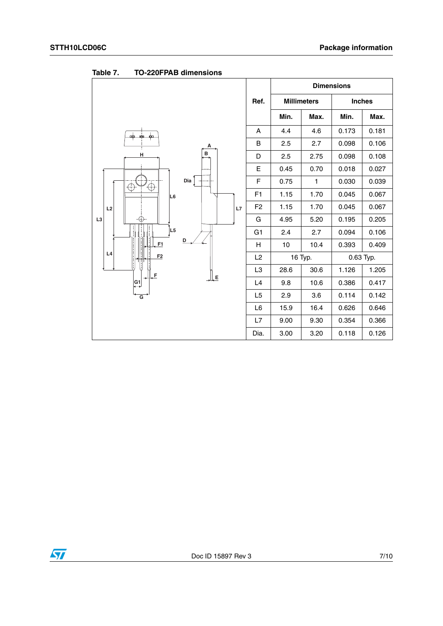|                      |                |                    |              | <b>Dimensions</b> |           |
|----------------------|----------------|--------------------|--------------|-------------------|-----------|
|                      | Ref.           | <b>Millimeters</b> |              | <b>Inches</b>     |           |
|                      |                | Min.               | Max.         | Min.              | Max.      |
| ۰<br>cф<br>mim       | Α              | 4.4                | 4.6          | 0.173             | 0.181     |
| Α                    | B              | 2.5                | 2.7          | 0.098             | 0.106     |
| в<br>Н               | D              | 2.5                | 2.75         | 0.098             | 0.108     |
|                      | E              | 0.45               | 0.70         | 0.018             | 0.027     |
| Dia $\lceil$<br>⊕    | F              | 0.75               | $\mathbf{1}$ | 0.030             | 0.039     |
| L <sub>6</sub>       | F <sub>1</sub> | 1.15               | 1.70         | 0.045             | 0.067     |
| L <sub>2</sub><br>L7 | F <sub>2</sub> | 1.15               | 1.70         | 0.045             | 0.067     |
| L <sub>3</sub><br>69 | G              | 4.95               | 5.20         | 0.195             | 0.205     |
| L5                   | G <sub>1</sub> | 2.4                | 2.7          | 0.094             | 0.106     |
| D<br>F1              | н              | 10                 | 10.4         | 0.393             | 0.409     |
| L4<br>F <sub>2</sub> | L <sub>2</sub> |                    | 16 Typ.      |                   | 0.63 Typ. |
| l, F                 | L <sub>3</sub> | 28.6               | 30.6         | 1.126             | 1.205     |
| ĻE<br>G1             | L4             | 9.8                | 10.6         | 0.386             | 0.417     |
| $\overline{G}$       | L5             | 2.9                | 3.6          | 0.114             | 0.142     |
|                      | L <sub>6</sub> | 15.9               | 16.4         | 0.626             | 0.646     |
|                      | L7             | 9.00               | 9.30         | 0.354             | 0.366     |
|                      | Dia.           | 3.00               | 3.20         | 0.118             | 0.126     |

<span id="page-6-0"></span>**Table 7. TO-220FPAB dimensions**

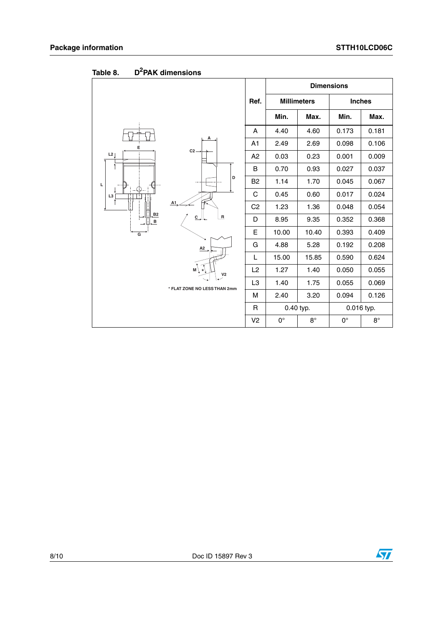|                |                                                 |                |                    |           | <b>Dimensions</b> |             |
|----------------|-------------------------------------------------|----------------|--------------------|-----------|-------------------|-------------|
|                |                                                 | Ref.           | <b>Millimeters</b> |           | <b>Inches</b>     |             |
|                |                                                 |                | Min.               | Max.      | Min.              | Max.        |
|                |                                                 | A              | 4.40               | 4.60      | 0.173             | 0.181       |
| E              |                                                 | A <sub>1</sub> | 2.49               | 2.69      | 0.098             | 0.106       |
| L2             | $C2 -$                                          | A2             | 0.03               | 0.23      | 0.001             | 0.009       |
|                |                                                 | B              | 0.70               | 0.93      | 0.027             | 0.037       |
| Ц              | D                                               | B <sub>2</sub> | 1.14               | 1.70      | 0.045             | 0.067       |
| L3             |                                                 | C              | 0.45               | 0.60      | 0.017             | 0.024       |
|                | A1<br>$\overline{R}$<br>$C_{\rightarrow}$<br>A2 | C <sub>2</sub> | 1.23               | 1.36      | 0.048             | 0.054       |
| B2<br>в        |                                                 | D              | 8.95               | 9.35      | 0.352             | 0.368       |
| $\overline{G}$ |                                                 | E              | 10.00              | 10.40     | 0.393             | 0.409       |
|                |                                                 | G              | 4.88               | 5.28      | 0.192             | 0.208       |
|                |                                                 | L              | 15.00              | 15.85     | 0.590             | 0.624       |
|                | $M \setminus$<br>V <sub>2</sub>                 | L2             | 1.27               | 1.40      | 0.050             | 0.055       |
|                | * FLAT ZONE NO LESS THAN 2mm                    | L <sub>3</sub> | 1.40               | 1.75      | 0.055             | 0.069       |
|                |                                                 | M              | 2.40               | 3.20      | 0.094             | 0.126       |
|                |                                                 | R              | 0.40 typ.          |           | 0.016 typ.        |             |
|                |                                                 | V <sub>2</sub> | $0^{\circ}$        | $8^\circ$ | $0^{\circ}$       | $8^{\circ}$ |

Table 8. **Table 8. D2PAK dimensions**

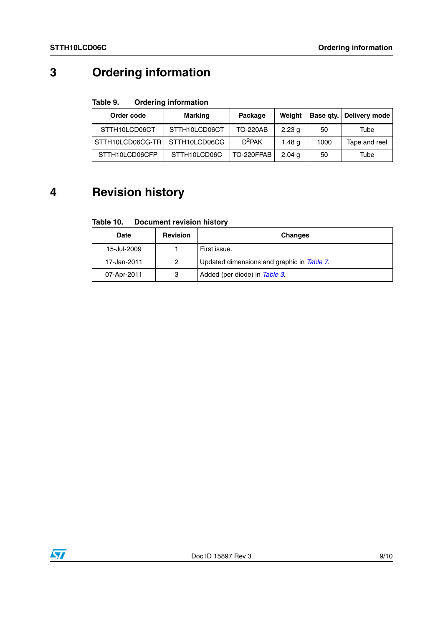# **3 Ordering information**

### Table 9. **Ordering information**

| Order code                       | Marking       | Package         | Weiaht            |      | Base qty.   Delivery mode |
|----------------------------------|---------------|-----------------|-------------------|------|---------------------------|
| STTH10LCD06CT                    | STTH10LCD06CT | <b>TO-220AB</b> | 2.23 <sub>q</sub> | 50   | Tube                      |
| STTH10LCD06CG-TR   STTH10LCD06CG |               | $D^2$ PAK       | 1.48 g            | 1000 | Tape and reel             |
| STTH10LCD06CFP                   | STTH10LCD06C  | TO-220FPAB      | 2.04 <sub>a</sub> | 50   | Tube                      |

# **4 Revision history**

#### Table 10. **Document revision history**

| <b>Date</b> | <b>Revision</b> | <b>Changes</b>                             |
|-------------|-----------------|--------------------------------------------|
| 15-Jul-2009 |                 | First issue.                               |
| 17-Jan-2011 | 2               | Updated dimensions and graphic in Table 7. |
| 07-Apr-2011 | 3               | Added (per diode) in Table 3.              |